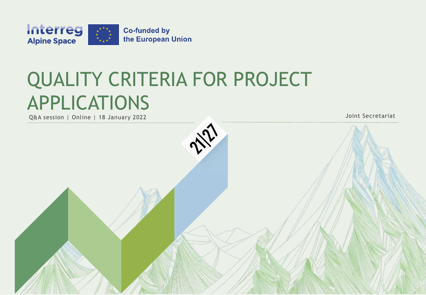

# QUALITY CRITERIA FOR PROJECT APPLICATIONS

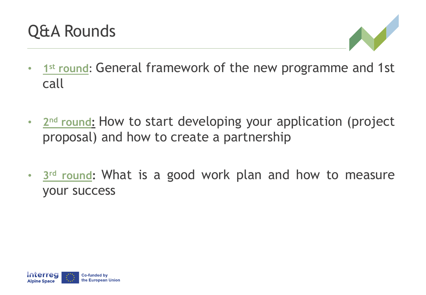



- **1 st round**: General framework of the new programme and 1st call
- 2<sup>nd</sup> round: How to start developing your application (project proposal) and how to create a partnership
- **3 rd round:** What is a good work plan and how to measure your success

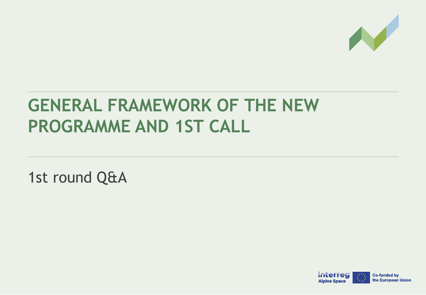

# **GENERAL FRAMEWORK OF THE NEW PROGRAMME AND 1ST CALL**

1st round Q&A

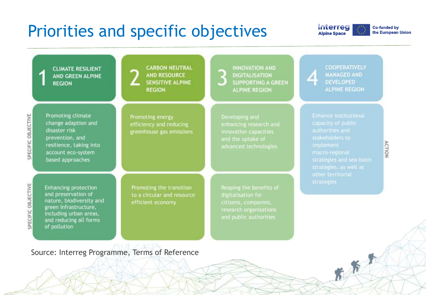### Priorities and specific objectives



东西



Source: Interreg Programme, Terms of Reference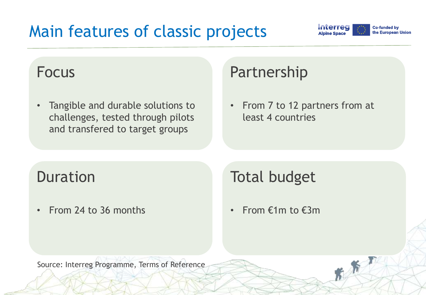# Main features of classic projects



 $k$   $k$   $k$ 

#### Focus

• Tangible and durable solutions to challenges, tested through pilots and transfered to target groups

### Partnership

• From 7 to 12 partners from at least 4 countries

### Duration

• From 24 to 36 months

## Total budget

• From  $£1m$  to  $£3m$ 

Source: Interreg Programme, Terms of Reference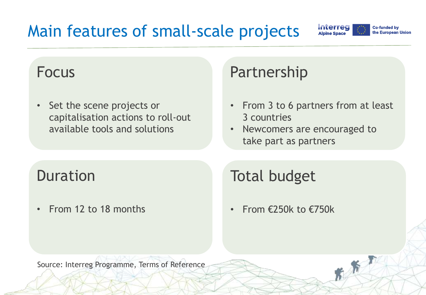# Main features of small-scale projects

#### Focus

• Set the scene projects or capitalisation actions to roll-out available tools and solutions

### Partnership

• From 3 to 6 partners from at least 3 countries

**Interreg** 

 $k$ 

Co-funded by the European Union

• Newcomers are encouraged to take part as partners

### **Duration**

• From 12 to 18 months

# Total budget

• From  $\epsilon$ 250k to  $\epsilon$ 750k

Source: Interreg Programme, Terms of Reference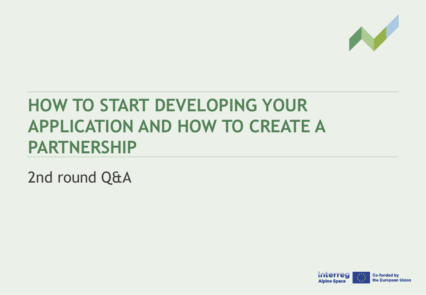

# **HOW TO START DEVELOPING YOUR APPLICATION AND HOW TO CREATE A PARTNERSHIP**

2nd round Q&A

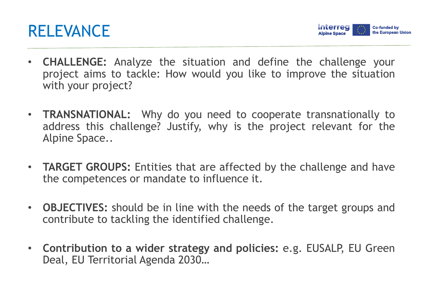



- **CHALLENGE:** Analyze the situation and define the challenge your project aims to tackle: How would you like to improve the situation with your project?
- **TRANSNATIONAL:** Why do you need to cooperate transnationally to address this challenge? Justify, why is the project relevant for the Alpine Space..
- **TARGET GROUPS:** Entities that are affected by the challenge and have the competences or mandate to influence it.
- **OBJECTIVES:** should be in line with the needs of the target groups and contribute to tackling the identified challenge.
- **Contribution to a wider strategy and policies:** e.g. EUSALP, EU Green Deal, EU Territorial Agenda 2030…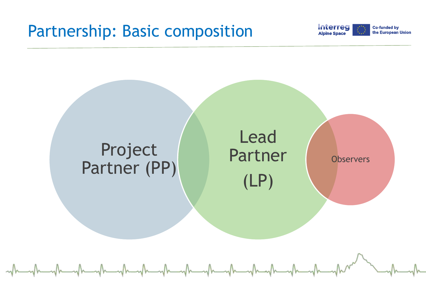### Partnership: Basic composition



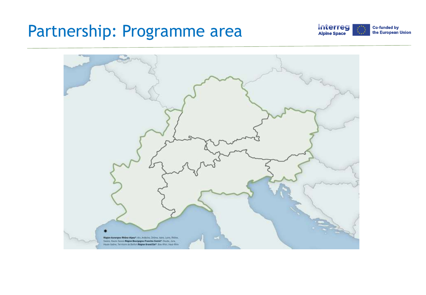### Partnership: Programme area



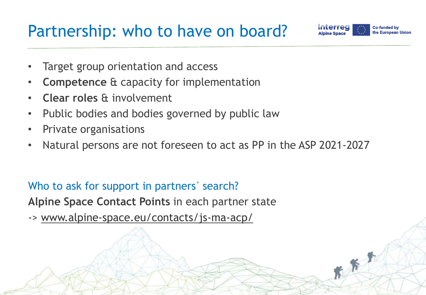### Partnership: who to have on board?



大黄

- Target group orientation and access
- **Competence** & capacity for implementation
- **Clear roles** & involvement
- Public bodies and bodies governed by public law
- Private organisations
- Natural persons are not foreseen to act as PP in the ASP 2021-2027

#### Who to ask for support in partners´ search?

**Alpine Space Contact Points** in each partner state

-> [www.alpine-space.eu/contacts/js-ma-acp/](http://www.alpine-space.eu/contacts/js-ma-acp/)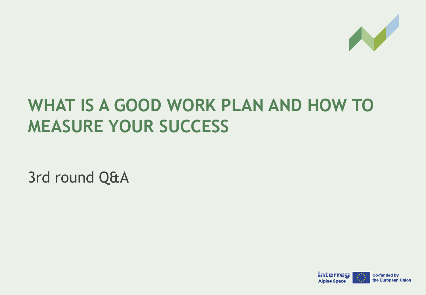

# **WHAT IS A GOOD WORK PLAN AND HOW TO MEASURE YOUR SUCCESS**

3rd round Q&A

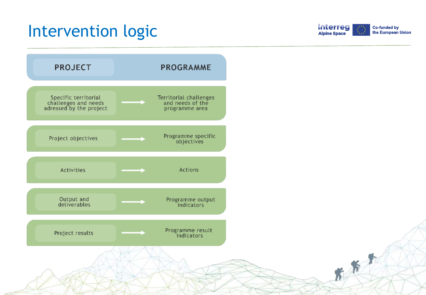### Intervention logic



先后

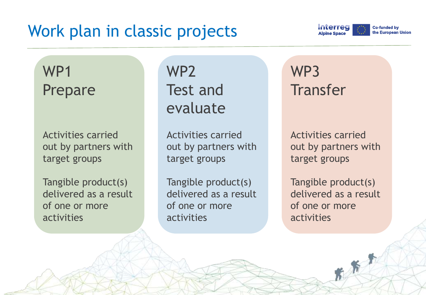## Work plan in classic projects

WP1 Prepare

Activities carried out by partners with target groups

Tangible product(s) delivered as a result of one or more activities

WP2 Test and evaluate

Activities carried out by partners with target groups

Tangible product(s) delivered as a result of one or more activities

WP3 **Transfer** 

Activities carried out by partners with target groups

Tangible product(s) delivered as a result of one or more activities

 $k$   $k$ 

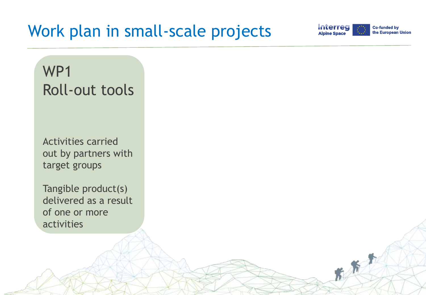### Work plan in small-scale projects



大老

WP1 Roll-out tools

Activities carried out by partners with target groups

Tangible product(s) delivered as a result of one or more activities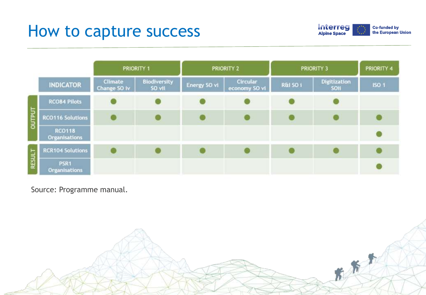### How to capture success





Source: Programme manual.

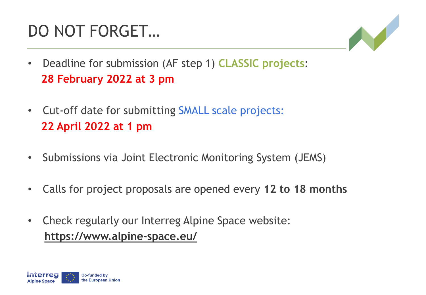# DO NOT FORGET…



- Deadline for submission (AF step 1) **CLASSIC projects**: **28 February 2022 at 3 pm**
- Cut-off date for submitting SMALL scale projects: **22 April 2022 at 1 pm**
- Submissions via Joint Electronic Monitoring System (JEMS)
- Calls for project proposals are opened every **12 to 18 months**
- Check regularly our Interreg Alpine Space website: **<https://www.alpine-space.eu/>**